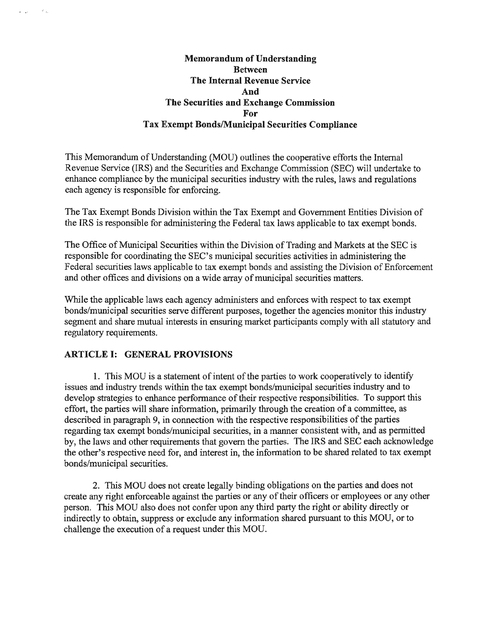## Memorandum of Understanding Between The Internal Revenue Service And The Securities and Exchange Commission For Tax Exempt Bonds/Municipal Securities Compliance

This Memorandum of Understanding (MOU) outlines the cooperative efforts the Internal Revenue Service (IRS) and the Securities and Exchange Commission (SEC) will undertake to enhance compliance by the municipal securities industry with the rules, laws and regulations each agency is responsible for enforcing.

The Tax Exempt Bonds Division within the Tax Exempt and Government Entities Division of the IRS is responsible for administering the Federal tax laws applicable to tax exempt bonds.

The Office of Municipal Securities within the Division of Trading and Markets at the SEC is responsible for coordinating the SEC's municipal securities activities in administering the Federal securities laws applicable to tax exempt bonds and assisting the Division of Enforcement and other offices and divisions on a wide array of municipal securities matters.

While the applicable laws each agency administers and enforces with respect to tax exempt bonds/municipal securities serve different purposes, together the agencies monitor this industry segment and share mutual interests in ensuring market participants comply with all statutory and regulatory requirements.

# ARTICLE I: GENERAL PROVISIONS

 $\omega_{\rm{max}}$ 

1. This MOD is a statement of intent of the parties to work cooperatively to identify issues and industry trends within the tax exempt bonds/municipal securities industry and to develop strategies to enhance performance of their respective responsibilities. To support this effort, the parties will share information, primarily through the creation of a committee, as described in paragraph 9, in connection with the respective responsibilities of the parties regarding tax exempt bonds/municipal securities, in a manner consistent with, and as permitted by, the laws and other requirements that govern the parties. The IRS and SEC each acknowledge the other's respective need for, and interest in, the information to be shared related to tax exempt bonds/municipal securities.

2. This MOD does not create legally binding obligations on the parties and does not create any right enforceable against the parties or any of their officers or employees or any other person. This MOD also does not confer upon any third party the right or ability directly or indirectly to obtain, suppress or exclude any information shared pursuant to this MOD, or to challenge the execution of a request under this MOD.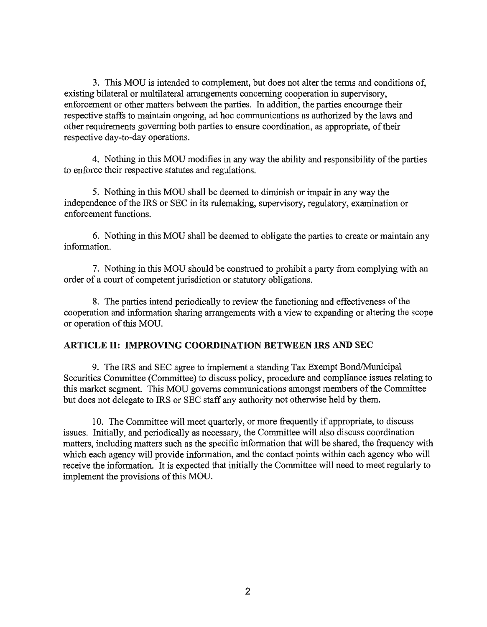3. This MOD is intended to complement, but does not alter the terms and conditions of, existing bilateral or multilateral arrangements concerning cooperation in supervisory, enforcement or other matters between the parties. In addition, the parties encourage their respective staffs to maintain ongoing, ad hoc communications as authorized by the laws and other requirements governing both parties to ensure coordination, as appropriate, of their respective day-to-day operations.

4. Nothing in this MOU modifies in any way the ability and responsibility of the parties to enforce their respective statutes and regulations.

5. Nothing in this MOD shall be deemed to diminish or impair in any way the independence of the IRS or SEC in its rulemaking, supervisory, regulatory, examination or enforcement functions.

6. Nothing in this MOD shall be deemed to obligate the parties to create or maintain any information.

7. Nothing in this MOD should be construed to prohibit a party from complying with an order of a court of competent jurisdiction or statutory obligations.

8. The parties intend periodically to review the functioning and effectiveness ofthe cooperation and information sharing arrangements with a view to expanding or altering the scope or operation of this MOU.

#### **ARTICLE II: IMPROVING COORDINATION BETWEEN IRS AND SEC**

9. The IRS and SEC agree to implement a standing Tax Exempt Bond/Municipal Securities Committee (Committee) to discuss policy, procedure and compliance issues relating to this market segment. This MOU governs communications amongst members of the Committee but does not delegate to IRS or SEC staff any authority not otherwise held by them.

10. The Committee will meet quarterly, or more frequently if appropriate, to discuss issues. Initially, and periodically as necessary, the Committee will also discuss coordination matters, including matters such as the specific information that will be shared, the frequency with which each agency will provide information, and the contact points within each agency who will receive the information. It is expected that initially the Committee will need to meet regularly to implement the provisions of this MOU.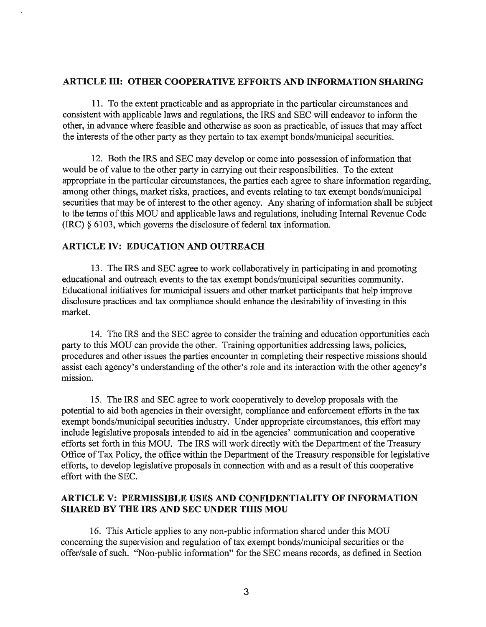### ARTICLE III: OTHER COOPERATIVE EFFORTS AND INFORMATION SHARING

11. To the extent practicable and as appropriate in the particular circumstances and consistent with applicable laws and regulations, the IRS and SEC will endeavor to inform the other, in advance where feasible and otherwise as soon as practicable, of issues that may affect the interests of the other party as they pertain to tax exempt bonds/municipal securities.

12. Both the IRS and SEC may develop or come into possession of information that would be of value to the other party in carrying out their responsibilities. To the extent appropriate in the particular circumstances, the parties each agree to share information regarding, among other things, market risks, practices, and events relating to tax exempt bonds/municipal securities that may be of interest to the other agency. Any sharing of information shall be subject to the terms of this MOU and applicable laws and regulations, including Internal Revenue Code (IRC) § 6103, which governs the disclosure of federal tax information.

### ARTICLE IV: EDUCATION AND OUTREACH

13. The IRS and SEC agree to work collaboratively in participating in and promoting educational and outreach events to the tax exempt bonds/municipal securities community. Educational initiatives for municipal issuers and other market participants that help improve disclosure practices and tax compliance should enhance the desirability of investing in this market.

14. The IRS and the SEC agree to consider the training and education opportunities each party to this MOD can provide the other. Training opportunities addressing laws, policies, procedures and other issues the parties encounter in completing their respective missions should assist each agency's understanding of the other's role and its interaction with the other agency's mission.

15. The IRS and SEC agree to work cooperatively to develop proposals with the potential to aid both agencies in their oversight, compliance and enforcement efforts in the tax exempt bonds/municipal securities industry. Under appropriate circumstances, this effort may include legislative proposals intended to aid in the agencies' communication and cooperative efforts set forth in this MOU. The IRS will work directly with the Department of the Treasury Office of Tax Policy, the office within the Department of the Treasury responsible for legislative efforts, to develop legislative proposals in connection with and as a result of this cooperative effort with the SEC.

## ARTICLE V: PERMISSIBLE USES AND CONFIDENTIALITY OF INFORMATION SHARED BY THE IRS AND SEC UNDER THIS MOU

16. This Article applies to any non-public information shared under this MOU concerning the supervision and regulation of tax exempt bonds/municipal securities or the offer/sale of such. ''Non-public information" for the SEC means records, as defined in Section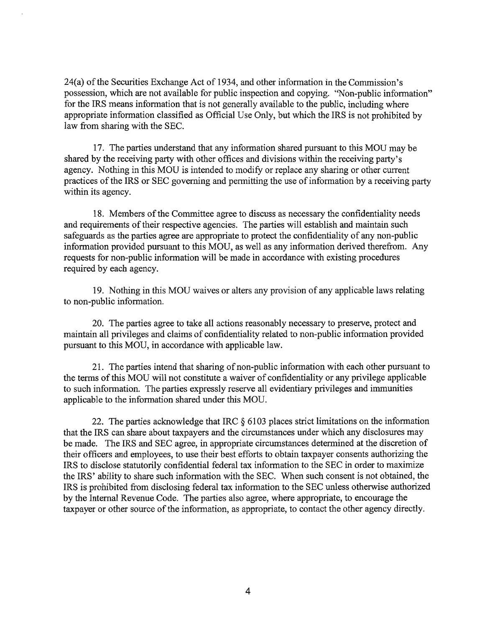24(a) of the Securities Exchange Act of 1934, and other information in the Commission's possession, which are not available for public inspection and copying. ''Non-public information" for the IRS means information that is not generally available to the public, including where appropriate information classified as Official Dse Only, but which the IRS is not prohibited by law from sharing with the SEC.

17. The parties understand that any information shared pursuant to this MOD may be shared by the receiving party with other offices and divisions within the receiving party's agency. Nothing in this MOD is intended to modify or replace any sharing or other current practices of the IRS or SEC governing and permitting the use of information by a receiving party within its agency.

18. Members of the Committee agree to discuss as necessary the confidentiality needs and requirements of their respective agencies. The parties will establish and maintain such safeguards as the parties agree are appropriate to protect the confidentiality of any non-public information provided pursuant to this MOD, as well as any information derived therefrom. Any requests for non-public information will be made in accordance with existing procedures required by each agency.

19. Nothing in this MOD waives or alters any provision of any applicable laws relating to non-public information.

20. The parties agree to take all actions reasonably necessary to preserve, protect and maintain all privileges and claims of confidentiality related to non-public information provided pursuant to this MOD, in accordance with applicable law.

21. The parties intend that sharing of non-public information with each other pursuant to the terms ofthis MOD will not constitute a waiver of confidentiality or any privilege applicable to such information. The parties expressly reserve all evidentiary privileges and immunities applicable to the information shared under this MOD.

22. The parties acknowledge that IRC § 6103 places strict limitations on the information that the IRS can share about taxpayers and the circumstances under which any disclosures may be made. The IRS and SEC agree, in appropriate circumstances determined at the discretion of their officers and employees, to use their best efforts to obtain taxpayer consents authorizing the IRS to disclose statutorily confidential federal tax information to the SEC in order to maximize the IRS' ability to share such information with the SEC. When such consent is not obtained, the IRS is prohibited from disclosing federal tax information to the SEC unless otherwise authorized by the Internal Revenue Code. The parties also agree, where appropriate, to encourage the taxpayer or other source of the information, as appropriate, to contact the other agency directly.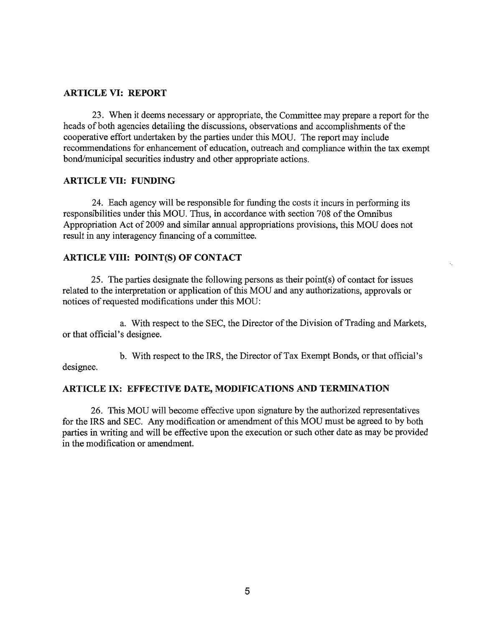### ARTICLE VI: REPORT

23. When it deems necessary or appropriate, the Committee may prepare a report for the heads of both agencies detailing the discussions, observations and accomplishments of the cooperative effort undertaken by the parties under this MOD. The report may include recommendations for enhancement of education, outreach and compliance within the tax exempt bond/municipal securities industry and other appropriate actions.

### ARTICLE VII: FUNDING

24. Each agency will be responsible for funding the costs it incurs in performing its responsibilities under this MOU. Thus, in accordance with section 708 of the Omnibus Appropriation Act of2009 and similar annual appropriations provisions, this MOD does not result in any interagency financing of a committee.

### ARTICLE VIII: POINT(S) OF CONTACT

25. The parties designate the following persons as their point(s) of contact for issues related to the interpretation or application of this MOU and any authorizations, approvals or notices of requested modifications under this MOU:

a. With respect to the SEC, the Director of the Division of Trading and Markets, or that official's designee.

b. With respect to the IRS, the Director of Tax Exempt Bonds, or that official's designee.

### ARTICLE IX: EFFECTIVE DATE, MODIFICATIONS AND TERMINATION

26. This MOD will become effective upon signature by the authorized representatives for the IRS and SEC. Any modification or amendment of this MOU must be agreed to by both parties in writing and will be effective upon the execution or such other date as may be provided in the modification or amendment.